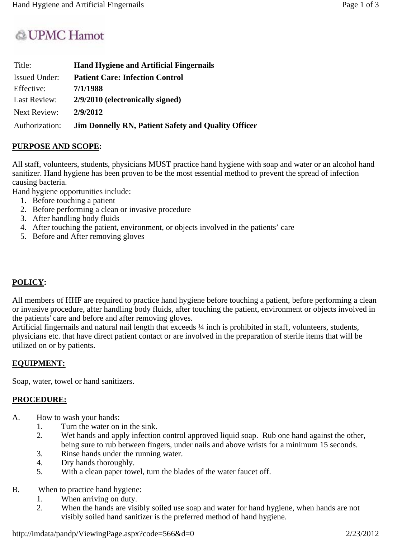# & UPMC Hamot

| Title:               | <b>Hand Hygiene and Artificial Fingernails</b>             |
|----------------------|------------------------------------------------------------|
| <b>Issued Under:</b> | <b>Patient Care: Infection Control</b>                     |
| Effective:           | 7/1/1988                                                   |
| Last Review:         | 2/9/2010 (electronically signed)                           |
| Next Review:         | 2/9/2012                                                   |
| Authorization:       | <b>Jim Donnelly RN, Patient Safety and Quality Officer</b> |

## **PURPOSE AND SCOPE:**

All staff, volunteers, students, physicians MUST practice hand hygiene with soap and water or an alcohol hand sanitizer. Hand hygiene has been proven to be the most essential method to prevent the spread of infection causing bacteria.

Hand hygiene opportunities include:

- 1. Before touching a patient
- 2. Before performing a clean or invasive procedure
- 3. After handling body fluids
- 4. After touching the patient, environment, or objects involved in the patients' care
- 5. Before and After removing gloves

## **POLICY:**

All members of HHF are required to practice hand hygiene before touching a patient, before performing a clean or invasive procedure, after handling body fluids, after touching the patient, environment or objects involved in the patients' care and before and after removing gloves.

Artificial fingernails and natural nail length that exceeds  $\frac{1}{4}$  inch is prohibited in staff, volunteers, students, physicians etc. that have direct patient contact or are involved in the preparation of sterile items that will be utilized on or by patients.

#### **EQUIPMENT:**

Soap, water, towel or hand sanitizers.

#### **PROCEDURE:**

- A. How to wash your hands:
	- 1. Turn the water on in the sink.
	- 2. Wet hands and apply infection control approved liquid soap. Rub one hand against the other, being sure to rub between fingers, under nails and above wrists for a minimum 15 seconds.
	- 3. Rinse hands under the running water.
	- 4. Dry hands thoroughly.
	- 5. With a clean paper towel, turn the blades of the water faucet off.
- B. When to practice hand hygiene:
	- 1. When arriving on duty.
	- 2. When the hands are visibly soiled use soap and water for hand hygiene, when hands are not visibly soiled hand sanitizer is the preferred method of hand hygiene.

http://imdata/pandp/ViewingPage.aspx?code=566&d=0 2/23/2012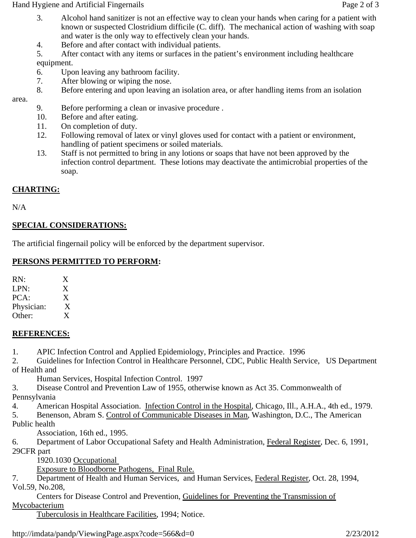Hand Hygiene and Artificial Fingernails **Page 2** of 3

- 3. Alcohol hand sanitizer is not an effective way to clean your hands when caring for a patient with known or suspected Clostridium difficile (C. diff). The mechanical action of washing with soap and water is the only way to effectively clean your hands.
- 4. Before and after contact with individual patients.
- 5. After contact with any items or surfaces in the patient's environment including healthcare equipment.
- 6. Upon leaving any bathroom facility.
- 7. After blowing or wiping the nose.
- 8. Before entering and upon leaving an isolation area, or after handling items from an isolation

area.

- 9. Before performing a clean or invasive procedure .
- 10. Before and after eating.
- 11. On completion of duty.
- 12. Following removal of latex or vinyl gloves used for contact with a patient or environment, handling of patient specimens or soiled materials.
- 13. Staff is not permitted to bring in any lotions or soaps that have not been approved by the infection control department. These lotions may deactivate the antimicrobial properties of the soap.

## **CHARTING:**

N/A

## **SPECIAL CONSIDERATIONS:**

The artificial fingernail policy will be enforced by the department supervisor.

#### **PERSONS PERMITTED TO PERFORM:**

RN: X LPN: X PCA: X Physician: X Other: X

## **REFERENCES:**

1. APIC Infection Control and Applied Epidemiology, Principles and Practice. 1996

2. Guidelines for Infection Control in Healthcare Personnel, CDC, Public Health Service, US Department of Health and

Human Services, Hospital Infection Control. 1997

3. Disease Control and Prevention Law of 1955, otherwise known as Act 35. Commonwealth of Pennsylvania

4. American Hospital Association. Infection Control in the Hospital, Chicago, Ill., A.H.A., 4th ed., 1979.

5. Benenson, Abram S. Control of Communicable Diseases in Man, Washington, D.C., The American

Public health

Association, 16th ed., 1995.

6. Department of Labor Occupational Safety and Health Administration, Federal Register, Dec. 6, 1991, 29CFR part

1920.1030 Occupational

Exposure to Bloodborne Pathogens, Final Rule.

7. Department of Health and Human Services, and Human Services, Federal Register, Oct. 28, 1994, Vol.59, No.208,

 Centers for Disease Control and Prevention, Guidelines for Preventing the Transmission of Mycobacterium

Tuberculosis in Healthcare Facilities, 1994; Notice.